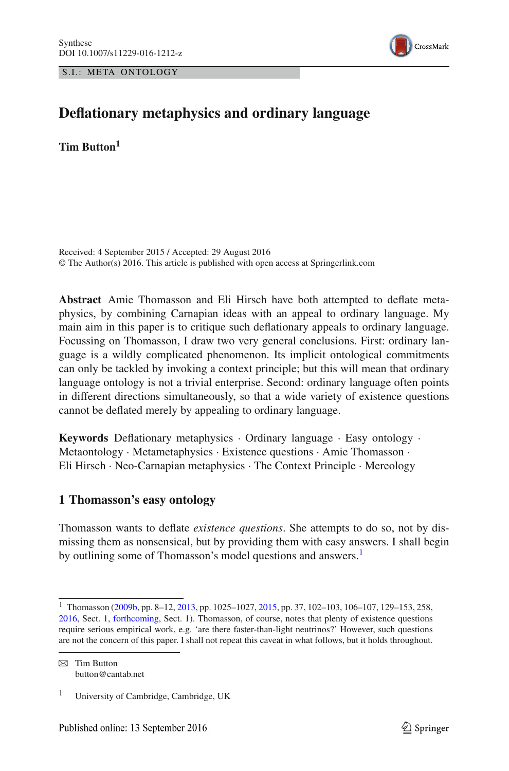S.I.: META ONTOLOGY



# **Deflationary metaphysics and ordinary language**

**Tim Button1**

Received: 4 September 2015 / Accepted: 29 August 2016 © The Author(s) 2016. This article is published with open access at Springerlink.com

**Abstract** Amie Thomasson and Eli Hirsch have both attempted to deflate metaphysics, by combining Carnapian ideas with an appeal to ordinary language. My main aim in this paper is to critique such deflationary appeals to ordinary language. Focussing on Thomasson, I draw two very general conclusions. First: ordinary language is a wildly complicated phenomenon. Its implicit ontological commitments can only be tackled by invoking a context principle; but this will mean that ordinary language ontology is not a trivial enterprise. Second: ordinary language often points in different directions simultaneously, so that a wide variety of existence questions cannot be deflated merely by appealing to ordinary language.

**Keywords** Deflationary metaphysics · Ordinary language · Easy ontology · Metaontology · Metametaphysics · Existence questions · Amie Thomasson · Eli Hirsch · Neo-Carnapian metaphysics · The Context Principle · Mereology

# **1 Thomasson's easy ontology**

Thomasson wants to deflate *existence questions*. She attempts to do so, not by dismissing them as nonsensical, but by providing them with easy answers. I shall begin by outlining some of Thomasson's model questions and answers.<sup>1</sup>

<sup>1</sup> Thomasson [\(2009b,](#page-23-0) pp. 8–12, [2013,](#page-23-1) pp. 1025–1027, [2015](#page-23-2), pp. 37, 102–103, 106–107, 129–153, 258, [2016,](#page-23-3) Sect. 1, [forthcoming](#page-23-4), Sect. 1). Thomasson, of course, notes that plenty of existence questions require serious empirical work, e.g. 'are there faster-than-light neutrinos?' However, such questions are not the concern of this paper. I shall not repeat this caveat in what follows, but it holds throughout.

 $\boxtimes$  Tim Button button@cantab.net

<sup>1</sup> University of Cambridge, Cambridge, UK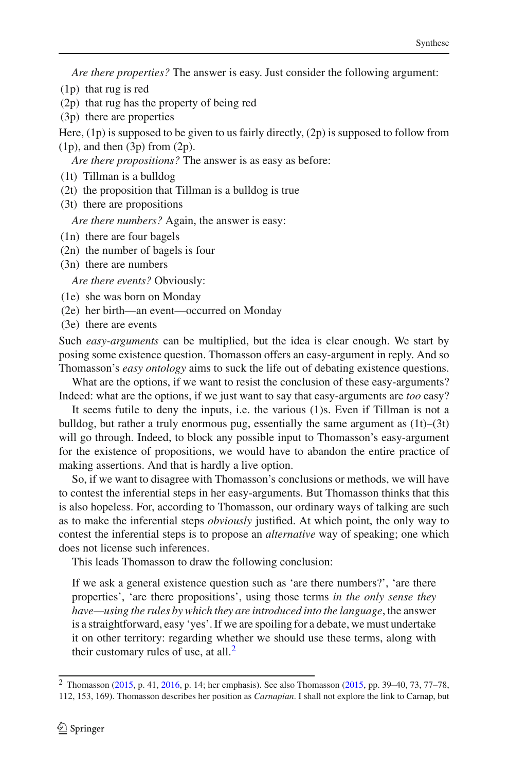*Are there properties?* The answer is easy. Just consider the following argument:

- (1p) that rug is red
- (2p) that rug has the property of being red
- (3p) there are properties

Here,  $(1p)$  is supposed to be given to us fairly directly,  $(2p)$  is supposed to follow from  $(1p)$ , and then  $(3p)$  from  $(2p)$ .

*Are there propositions?* The answer is as easy as before:

- (1t) Tillman is a bulldog
- (2t) the proposition that Tillman is a bulldog is true
- (3t) there are propositions

*Are there numbers?* Again, the answer is easy:

- (1n) there are four bagels
- (2n) the number of bagels is four
- (3n) there are numbers

*Are there events?* Obviously:

- (1e) she was born on Monday
- (2e) her birth—an event—occurred on Monday
- (3e) there are events

Such *easy-arguments* can be multiplied, but the idea is clear enough. We start by posing some existence question. Thomasson offers an easy-argument in reply. And so Thomasson's *easy ontology* aims to suck the life out of debating existence questions.

What are the options, if we want to resist the conclusion of these easy-arguments? Indeed: what are the options, if we just want to say that easy-arguments are *too* easy?

It seems futile to deny the inputs, i.e. the various (1)s. Even if Tillman is not a bulldog, but rather a truly enormous pug, essentially the same argument as  $(1t)$ – $(3t)$ will go through. Indeed, to block any possible input to Thomasson's easy-argument for the existence of propositions, we would have to abandon the entire practice of making assertions. And that is hardly a live option.

So, if we want to disagree with Thomasson's conclusions or methods, we will have to contest the inferential steps in her easy-arguments. But Thomasson thinks that this is also hopeless. For, according to Thomasson, our ordinary ways of talking are such as to make the inferential steps *obviously* justified. At which point, the only way to contest the inferential steps is to propose an *alternative* way of speaking; one which does not license such inferences.

This leads Thomasson to draw the following conclusion:

If we ask a general existence question such as 'are there numbers?', 'are there properties', 'are there propositions', using those terms *in the only sense they have—using the rules by which they are introduced into the language*, the answer is a straightforward, easy 'yes'. If we are spoiling for a debate, we must undertake it on other territory: regarding whether we should use these terms, along with their customary rules of use, at all. $<sup>2</sup>$ </sup>

<span id="page-1-0"></span><sup>&</sup>lt;sup>2</sup> Thomasson [\(2015](#page-23-2), p. 41, [2016](#page-23-3), p. 14; her emphasis). See also Thomasson (2015, pp. 39–40, 73, 77–78, 112, 153, 169). Thomasson describes her position as *Carnapian*. I shall not explore the link to Carnap, but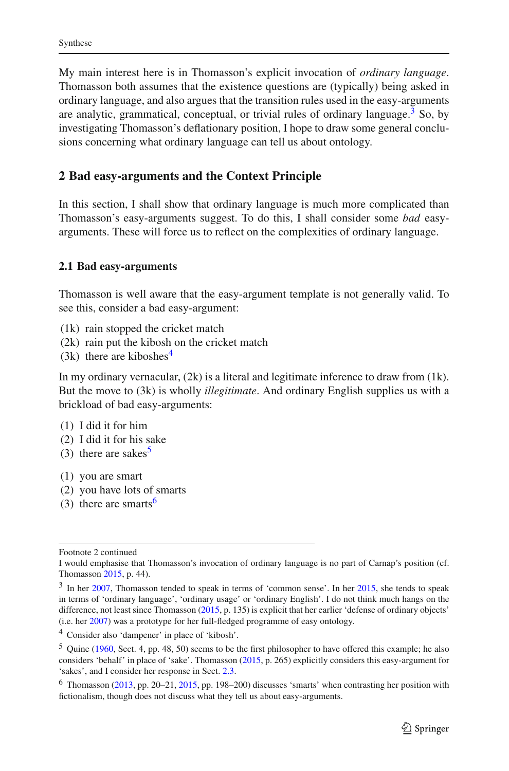My main interest here is in Thomasson's explicit invocation of *ordinary language*. Thomasson both assumes that the existence questions are (typically) being asked in ordinary language, and also argues that the transition rules used in the easy-arguments are analytic, grammatical, conceptual, or trivial rules of ordinary language.<sup>[3](#page-2-0)</sup> So, by investigating Thomasson's deflationary position, I hope to draw some general conclusions concerning what ordinary language can tell us about ontology.

# <span id="page-2-4"></span>**2 Bad easy-arguments and the Context Principle**

In this section, I shall show that ordinary language is much more complicated than Thomasson's easy-arguments suggest. To do this, I shall consider some *bad* easyarguments. These will force us to reflect on the complexities of ordinary language.

# **2.1 Bad easy-arguments**

Thomasson is well aware that the easy-argument template is not generally valid. To see this, consider a bad easy-argument:

- (1k) rain stopped the cricket match
- (2k) rain put the kibosh on the cricket match
- (3k) there are kiboshes<sup>4</sup>

In my ordinary vernacular,  $(2k)$  is a literal and legitimate inference to draw from  $(1k)$ . But the move to (3k) is wholly *illegitimate*. And ordinary English supplies us with a brickload of bad easy-arguments:

- (1) I did it for him
- (2) I did it for his sake
- (3) there are sakes $5$

- (2) you have lots of smarts
- (3) there are smarts<sup>6</sup>

<sup>(1)</sup> you are smart

Footnote 2 continued

I would emphasise that Thomasson's invocation of ordinary language is no part of Carnap's position (cf. Thomasson [2015](#page-23-2), p. 44).

<span id="page-2-0"></span><sup>3</sup> In her [2007](#page-23-5), Thomasson tended to speak in terms of 'common sense'. In her [2015,](#page-23-2) she tends to speak in terms of 'ordinary language', 'ordinary usage' or 'ordinary English'. I do not think much hangs on the difference, not least since Thomasson [\(2015,](#page-23-2) p. 135) is explicit that her earlier 'defense of ordinary objects' (i.e. her [2007](#page-23-5)) was a prototype for her full-fledged programme of easy ontology.

<sup>4</sup> Consider also 'dampener' in place of 'kibosh'.

<span id="page-2-2"></span><span id="page-2-1"></span><sup>&</sup>lt;sup>5</sup> Quine [\(1960,](#page-23-6) Sect. 4, pp. 48, 50) seems to be the first philosopher to have offered this example; he also considers 'behalf' in place of 'sake'. Thomasson [\(2015](#page-23-2), p. 265) explicitly considers this easy-argument for 'sakes', and I consider her response in Sect. [2.3.](#page-5-0)

<span id="page-2-3"></span> $6$  Thomasson [\(2013,](#page-23-1) pp. 20–21, [2015](#page-23-2), pp. 198–200) discusses 'smarts' when contrasting her position with fictionalism, though does not discuss what they tell us about easy-arguments.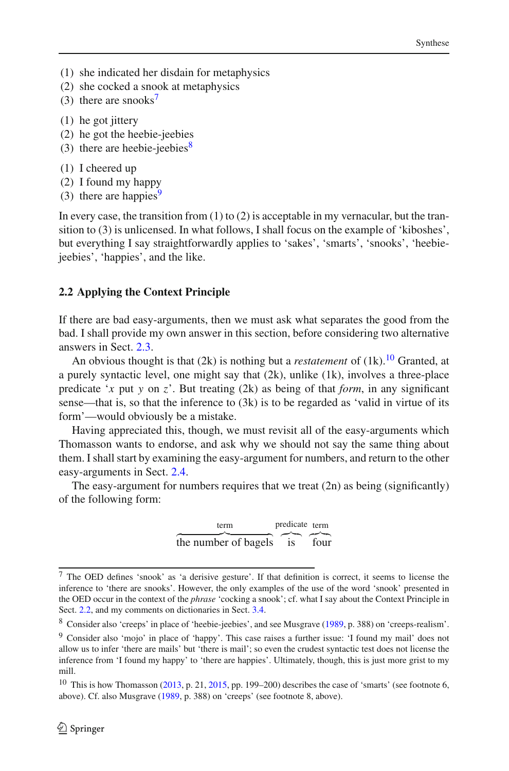- (1) she indicated her disdain for metaphysics
- (2) she cocked a snook at metaphysics
- (3) there are snooks<sup>7</sup>
- (1) he got jittery
- (2) he got the heebie-jeebies
- (3) there are heebie-jeebies $8$
- (1) I cheered up
- (2) I found my happy
- (3) there are happies $9$

In every case, the transition from  $(1)$  to  $(2)$  is acceptable in my vernacular, but the transition to (3) is unlicensed. In what follows, I shall focus on the example of 'kiboshes', but everything I say straightforwardly applies to 'sakes', 'smarts', 'snooks', 'heebiejeebies', 'happies', and the like.

### <span id="page-3-4"></span>**2.2 Applying the Context Principle**

If there are bad easy-arguments, then we must ask what separates the good from the bad. I shall provide my own answer in this section, before considering two alternative answers in Sect. [2.3.](#page-5-0)

An obvious thought is that (2k) is nothing but a *restatement* of (1k).<sup>[10](#page-3-3)</sup> Granted, at a purely syntactic level, one might say that (2k), unlike (1k), involves a three-place predicate '*x* put *y* on *z*'. But treating (2k) as being of that *form*, in any significant sense—that is, so that the inference to (3k) is to be regarded as 'valid in virtue of its form'—would obviously be a mistake.

Having appreciated this, though, we must revisit all of the easy-arguments which Thomasson wants to endorse, and ask why we should not say the same thing about them. I shall start by examining the easy-argument for numbers, and return to the other easy-arguments in Sect. [2.4.](#page-8-0)

The easy-argument for numbers requires that we treat  $(2n)$  as being (significantly) of the following form:

> term the number of bagels predicate term  $\widetilde{\phantom{a}i\mathrm{s}}$  $\widetilde{f_{\text{out}}}$

<span id="page-3-0"></span><sup>7</sup> The OED defines 'snook' as 'a derisive gesture'. If that definition is correct, it seems to license the inference to 'there are snooks'. However, the only examples of the use of the word 'snook' presented in the OED occur in the context of the *phrase* 'cocking a snook'; cf. what I say about the Context Principle in Sect. [2.2,](#page-3-4) and my comments on dictionaries in Sect. [3.4.](#page-18-0)

<sup>8</sup> Consider also 'creeps' in place of 'heebie-jeebies', and see Musgrave [\(1989,](#page-23-7) p. 388) on 'creeps-realism'.

<span id="page-3-2"></span><span id="page-3-1"></span><sup>9</sup> Consider also 'mojo' in place of 'happy'. This case raises a further issue: 'I found my mail' does not allow us to infer 'there are mails' but 'there is mail'; so even the crudest syntactic test does not license the inference from 'I found my happy' to 'there are happies'. Ultimately, though, this is just more grist to my mill.

<span id="page-3-3"></span><sup>&</sup>lt;sup>10</sup> This is how Thomasson [\(2013,](#page-23-1) p. 21, [2015](#page-23-2), pp. 199–200) describes the case of 'smarts' (see footnote 6, above). Cf. also Musgrave [\(1989](#page-23-7), p. 388) on 'creeps' (see footnote 8, above).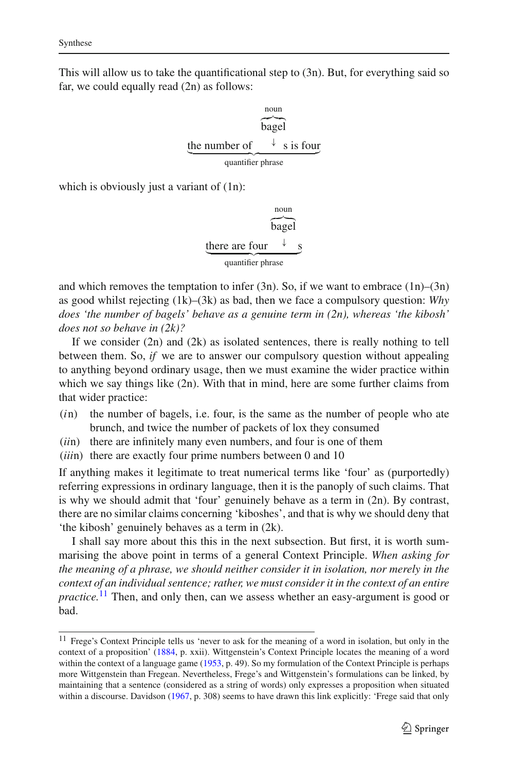This will allow us to take the quantificational step to (3n). But, for everything said so far, we could equally read (2n) as follows:

> noun - bagel the number of  $\quad \downarrow$  s is four quantifier phrase

which is obviously just a variant of  $(1n)$ :

noun - bagel there are four  $\downarrow$  s quantifier phrase

and which removes the temptation to infer  $(3n)$ . So, if we want to embrace  $(1n)$ – $(3n)$ as good whilst rejecting (1k)–(3k) as bad, then we face a compulsory question: *Why does 'the number of bagels' behave as a genuine term in (2n), whereas 'the kibosh' does not so behave in (2k)?*

If we consider  $(2n)$  and  $(2k)$  as isolated sentences, there is really nothing to tell between them. So, *if* we are to answer our compulsory question without appealing to anything beyond ordinary usage, then we must examine the wider practice within which we say things like (2n). With that in mind, here are some further claims from that wider practice:

- (*i*n) the number of bagels, i.e. four, is the same as the number of people who ate brunch, and twice the number of packets of lox they consumed
- (*ii*n) there are infinitely many even numbers, and four is one of them

(*iii*n) there are exactly four prime numbers between 0 and 10

If anything makes it legitimate to treat numerical terms like 'four' as (purportedly) referring expressions in ordinary language, then it is the panoply of such claims. That is why we should admit that 'four' genuinely behave as a term in (2n). By contrast, there are no similar claims concerning 'kiboshes', and that is why we should deny that 'the kibosh' genuinely behaves as a term in (2k).

I shall say more about this this in the next subsection. But first, it is worth summarising the above point in terms of a general Context Principle. *When asking for the meaning of a phrase, we should neither consider it in isolation, nor merely in the context of an individual sentence; rather, we must consider it in the context of an entire practice.*[11](#page-4-0) Then, and only then, can we assess whether an easy-argument is good or bad.

<span id="page-4-0"></span><sup>11</sup> Frege's Context Principle tells us 'never to ask for the meaning of a word in isolation, but only in the context of a proposition' [\(1884](#page-23-8), p. xxii). Wittgenstein's Context Principle locates the meaning of a word within the context of a language game [\(1953](#page-24-0), p. 49). So my formulation of the Context Principle is perhaps more Wittgenstein than Fregean. Nevertheless, Frege's and Wittgenstein's formulations can be linked, by maintaining that a sentence (considered as a string of words) only expresses a proposition when situated within a discourse. Davidson [\(1967,](#page-23-9) p. 308) seems to have drawn this link explicitly: 'Frege said that only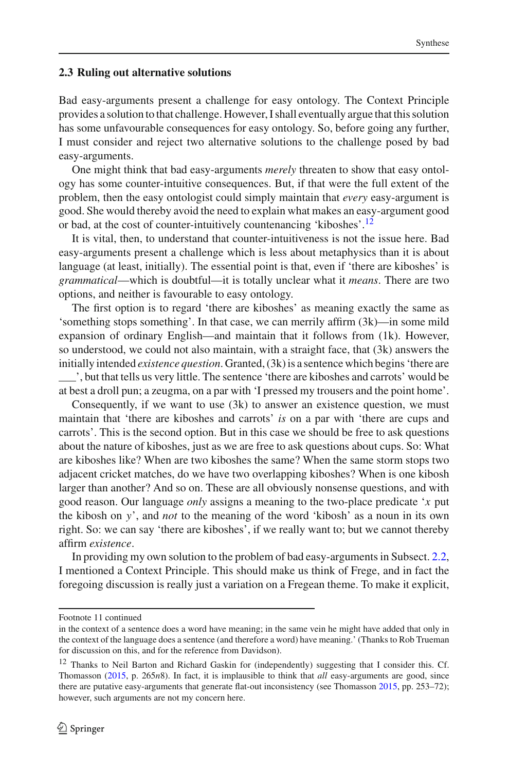## <span id="page-5-0"></span>**2.3 Ruling out alternative solutions**

Bad easy-arguments present a challenge for easy ontology. The Context Principle provides a solution to that challenge. However, I shall eventually argue that this solution has some unfavourable consequences for easy ontology. So, before going any further, I must consider and reject two alternative solutions to the challenge posed by bad easy-arguments.

One might think that bad easy-arguments *merely* threaten to show that easy ontology has some counter-intuitive consequences. But, if that were the full extent of the problem, then the easy ontologist could simply maintain that *every* easy-argument is good. She would thereby avoid the need to explain what makes an easy-argument good or bad, at the cost of counter-intuitively countenancing 'kiboshes'.<sup>[12](#page-5-1)</sup>

It is vital, then, to understand that counter-intuitiveness is not the issue here. Bad easy-arguments present a challenge which is less about metaphysics than it is about language (at least, initially). The essential point is that, even if 'there are kiboshes' is *grammatical*—which is doubtful—it is totally unclear what it *means*. There are two options, and neither is favourable to easy ontology.

The first option is to regard 'there are kiboshes' as meaning exactly the same as 'something stops something'. In that case, we can merrily affirm (3k)—in some mild expansion of ordinary English—and maintain that it follows from (1k). However, so understood, we could not also maintain, with a straight face, that (3k) answers the initially intended *existence question*. Granted, (3k) is a sentence which begins 'there are ', but that tells us very little. The sentence 'there are kiboshes and carrots' would be at best a droll pun; a zeugma, on a par with 'I pressed my trousers and the point home'.

Consequently, if we want to use  $(3k)$  to answer an existence question, we must maintain that 'there are kiboshes and carrots' *is* on a par with 'there are cups and carrots'. This is the second option. But in this case we should be free to ask questions about the nature of kiboshes, just as we are free to ask questions about cups. So: What are kiboshes like? When are two kiboshes the same? When the same storm stops two adjacent cricket matches, do we have two overlapping kiboshes? When is one kibosh larger than another? And so on. These are all obviously nonsense questions, and with good reason. Our language *only* assigns a meaning to the two-place predicate '*x* put the kibosh on *y*', and *not* to the meaning of the word 'kibosh' as a noun in its own right. So: we can say 'there are kiboshes', if we really want to; but we cannot thereby affirm *existence*.

In providing my own solution to the problem of bad easy-arguments in Subsect. [2.2,](#page-3-4) I mentioned a Context Principle. This should make us think of Frege, and in fact the foregoing discussion is really just a variation on a Fregean theme. To make it explicit,

Footnote 11 continued

in the context of a sentence does a word have meaning; in the same vein he might have added that only in the context of the language does a sentence (and therefore a word) have meaning.' (Thanks to Rob Trueman for discussion on this, and for the reference from Davidson).

<span id="page-5-1"></span><sup>&</sup>lt;sup>12</sup> Thanks to Neil Barton and Richard Gaskin for (independently) suggesting that I consider this. Cf. Thomasson [\(2015,](#page-23-2) p. 265*n*8). In fact, it is implausible to think that *all* easy-arguments are good, since there are putative easy-arguments that generate flat-out inconsistency (see Thomasson [2015](#page-23-2), pp. 253–72); however, such arguments are not my concern here.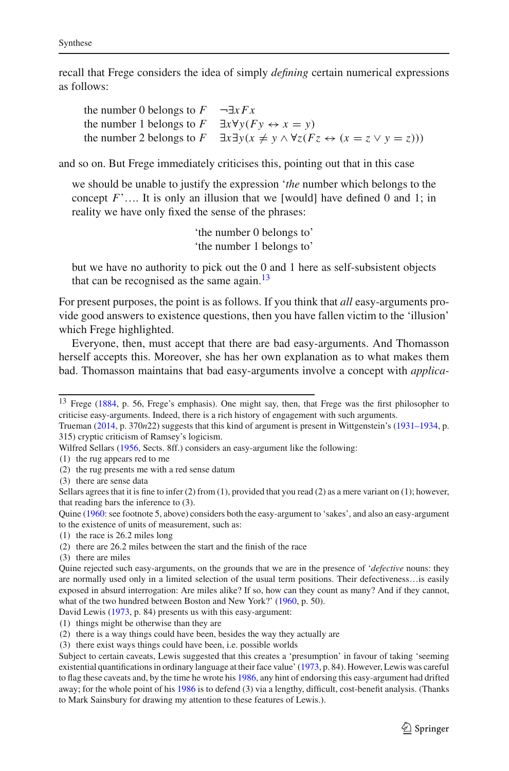recall that Frege considers the idea of simply *defining* certain numerical expressions as follows:

the number 0 belongs to  $F = \exists x Fx$ the number 1 belongs to  $F = \exists x \forall y (Fy \leftrightarrow x = y)$ the number 2 belongs to  $F = \exists x \exists y (x \neq y \land \forall z (Fz \leftrightarrow (x = z \lor y = z)))$ 

and so on. But Frege immediately criticises this, pointing out that in this case

we should be unable to justify the expression '*the* number which belongs to the concept  $F'$ .... It is only an illusion that we [would] have defined 0 and 1; in reality we have only fixed the sense of the phrases:

> 'the number 0 belongs to' 'the number 1 belongs to'

but we have no authority to pick out the 0 and 1 here as self-subsistent objects that can be recognised as the same again. $13$ 

For present purposes, the point is as follows. If you think that *all* easy-arguments provide good answers to existence questions, then you have fallen victim to the 'illusion' which Frege highlighted.

Everyone, then, must accept that there are bad easy-arguments. And Thomasson herself accepts this. Moreover, she has her own explanation as to what makes them bad. Thomasson maintains that bad easy-arguments involve a concept with *applica-*

Wilfred Sellars [\(1956](#page-23-11), Sects. 8ff.) considers an easy-argument like the following:

- (1) the rug appears red to me
- (2) the rug presents me with a red sense datum
- (3) there are sense data

Sellars agrees that it is fine to infer (2) from (1), provided that you read (2) as a mere variant on (1); however, that reading bars the inference to (3).

Quine [\(1960](#page-23-6): see footnote 5, above) considers both the easy-argument to 'sakes', and also an easy-argument to the existence of units of measurement, such as:

- (1) the race is 26.2 miles long
- (2) there are 26.2 miles between the start and the finish of the race

(3) there are miles

David Lewis [\(1973,](#page-23-12) p. 84) presents us with this easy-argument:

(1) things might be otherwise than they are

Subject to certain caveats, Lewis suggested that this creates a 'presumption' in favour of taking 'seeming existential quantifications in ordinary language at their face value' [\(1973,](#page-23-12) p. 84). However, Lewis was careful to flag these caveats and, by the time he wrote his [1986](#page-23-13), any hint of endorsing this easy-argument had drifted away; for the whole point of his [1986](#page-23-13) is to defend (3) via a lengthy, difficult, cost-benefit analysis. (Thanks to Mark Sainsbury for drawing my attention to these features of Lewis.).

<span id="page-6-0"></span><sup>&</sup>lt;sup>13</sup> Frege [\(1884,](#page-23-8) p. 56, Frege's emphasis). One might say, then, that Frege was the first philosopher to criticise easy-arguments. Indeed, there is a rich history of engagement with such arguments.

Trueman [\(2014,](#page-23-10) p. 370*n*22) suggests that this kind of argument is present in Wittgenstein's [\(1931–1934](#page-24-1), p. 315) cryptic criticism of Ramsey's logicism.

Quine rejected such easy-arguments, on the grounds that we are in the presence of '*defective* nouns: they are normally used only in a limited selection of the usual term positions. Their defectiveness…is easily exposed in absurd interrogation: Are miles alike? If so, how can they count as many? And if they cannot, what of the two hundred between Boston and New York?' [\(1960](#page-23-6), p. 50).

<sup>(2)</sup> there is a way things could have been, besides the way they actually are

<sup>(3)</sup> there exist ways things could have been, i.e. possible worlds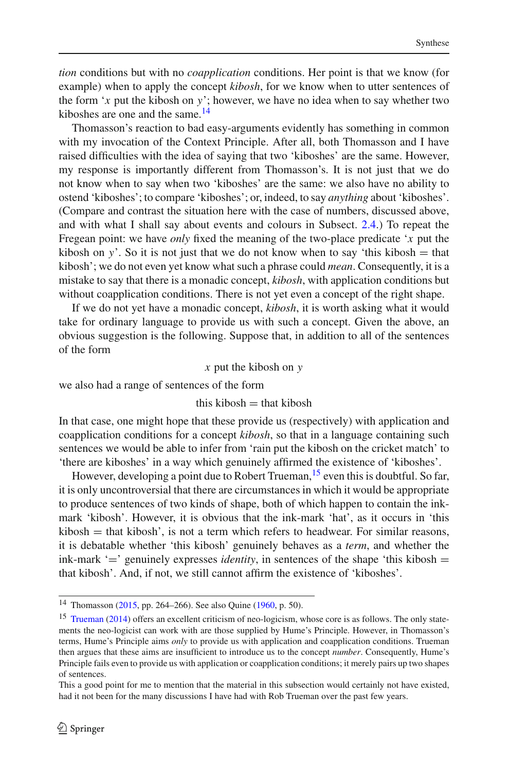*tion* conditions but with no *coapplication* conditions. Her point is that we know (for example) when to apply the concept *kibosh*, for we know when to utter sentences of the form  $x$  put the kibosh on  $y$ ; however, we have no idea when to say whether two kiboshes are one and the same. $14$ 

Thomasson's reaction to bad easy-arguments evidently has something in common with my invocation of the Context Principle. After all, both Thomasson and I have raised difficulties with the idea of saying that two 'kiboshes' are the same. However, my response is importantly different from Thomasson's. It is not just that we do not know when to say when two 'kiboshes' are the same: we also have no ability to ostend 'kiboshes'; to compare 'kiboshes'; or, indeed, to say *anything* about 'kiboshes'. (Compare and contrast the situation here with the case of numbers, discussed above, and with what I shall say about events and colours in Subsect. [2.4.](#page-8-0)) To repeat the Fregean point: we have *only* fixed the meaning of the two-place predicate '*x* put the kibosh on *y*'. So it is not just that we do not know when to say 'this kibosh  $=$  that kibosh'; we do not even yet know what such a phrase could *mean*. Consequently, it is a mistake to say that there is a monadic concept, *kibosh*, with application conditions but without coapplication conditions. There is not yet even a concept of the right shape.

If we do not yet have a monadic concept, *kibosh*, it is worth asking what it would take for ordinary language to provide us with such a concept. Given the above, an obvious suggestion is the following. Suppose that, in addition to all of the sentences of the form

### *x* put the kibosh on *y*

we also had a range of sentences of the form

#### this kibosh  $=$  that kibosh

In that case, one might hope that these provide us (respectively) with application and coapplication conditions for a concept *kibosh*, so that in a language containing such sentences we would be able to infer from 'rain put the kibosh on the cricket match' to 'there are kiboshes' in a way which genuinely affirmed the existence of 'kiboshes'.

However, developing a point due to Robert Trueman,  $^{15}$  even this is doubtful. So far, it is only uncontroversial that there are circumstances in which it would be appropriate to produce sentences of two kinds of shape, both of which happen to contain the inkmark 'kibosh'. However, it is obvious that the ink-mark 'hat', as it occurs in 'this  $kibosh = that kibosh'$ , is not a term which refers to headwear. For similar reasons, it is debatable whether 'this kibosh' genuinely behaves as a *term*, and whether the ink-mark  $\equiv$  genuinely expresses *identity*, in sentences of the shape 'this kibosh  $=$ that kibosh'. And, if not, we still cannot affirm the existence of 'kiboshes'.

<sup>14</sup> Thomasson [\(2015](#page-23-2), pp. 264–266). See also Quine [\(1960](#page-23-6), p. 50).

<span id="page-7-1"></span><span id="page-7-0"></span><sup>&</sup>lt;sup>15</sup> [Trueman](#page-23-10) [\(2014](#page-23-10)) offers an excellent criticism of neo-logicism, whose core is as follows. The only statements the neo-logicist can work with are those supplied by Hume's Principle. However, in Thomasson's terms, Hume's Principle aims *only* to provide us with application and coapplication conditions. Trueman then argues that these aims are insufficient to introduce us to the concept *number*. Consequently, Hume's Principle fails even to provide us with application or coapplication conditions; it merely pairs up two shapes of sentences.

This a good point for me to mention that the material in this subsection would certainly not have existed, had it not been for the many discussions I have had with Rob Trueman over the past few years.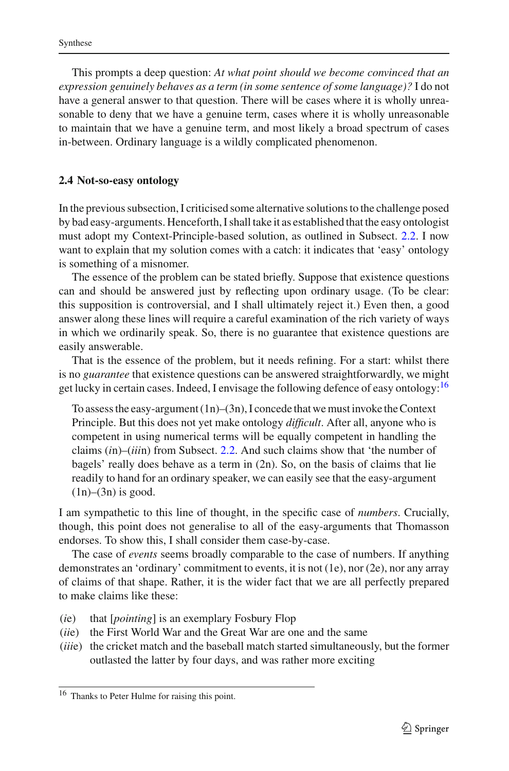This prompts a deep question: *At what point should we become convinced that an expression genuinely behaves as a term (in some sentence of some language)?* I do not have a general answer to that question. There will be cases where it is wholly unreasonable to deny that we have a genuine term, cases where it is wholly unreasonable to maintain that we have a genuine term, and most likely a broad spectrum of cases in-between. Ordinary language is a wildly complicated phenomenon.

### <span id="page-8-0"></span>**2.4 Not-so-easy ontology**

In the previous subsection, I criticised some alternative solutions to the challenge posed by bad easy-arguments. Henceforth, I shall take it as established that the easy ontologist must adopt my Context-Principle-based solution, as outlined in Subsect. [2.2.](#page-3-4) I now want to explain that my solution comes with a catch: it indicates that 'easy' ontology is something of a misnomer.

The essence of the problem can be stated briefly. Suppose that existence questions can and should be answered just by reflecting upon ordinary usage. (To be clear: this supposition is controversial, and I shall ultimately reject it.) Even then, a good answer along these lines will require a careful examination of the rich variety of ways in which we ordinarily speak. So, there is no guarantee that existence questions are easily answerable.

That is the essence of the problem, but it needs refining. For a start: whilst there is no *guarantee* that existence questions can be answered straightforwardly, we might get lucky in certain cases. Indeed, I envisage the following defence of easy ontology:<sup>16</sup>

To assess the easy-argument  $(1n)$ – $(3n)$ , I concede that we must invoke the Context Principle. But this does not yet make ontology *difficult*. After all, anyone who is competent in using numerical terms will be equally competent in handling the claims (*i*n)–(*iii*n) from Subsect. [2.2.](#page-3-4) And such claims show that 'the number of bagels' really does behave as a term in (2n). So, on the basis of claims that lie readily to hand for an ordinary speaker, we can easily see that the easy-argument  $(1n)$ – $(3n)$  is good.

I am sympathetic to this line of thought, in the specific case of *numbers*. Crucially, though, this point does not generalise to all of the easy-arguments that Thomasson endorses. To show this, I shall consider them case-by-case.

The case of *events* seems broadly comparable to the case of numbers. If anything demonstrates an 'ordinary' commitment to events, it is not (1e), nor (2e), nor any array of claims of that shape. Rather, it is the wider fact that we are all perfectly prepared to make claims like these:

- (*i*e) that [*pointing*] is an exemplary Fosbury Flop
- (*ii*e) the First World War and the Great War are one and the same
- (*iii*e) the cricket match and the baseball match started simultaneously, but the former outlasted the latter by four days, and was rather more exciting

<span id="page-8-1"></span><sup>16</sup> Thanks to Peter Hulme for raising this point.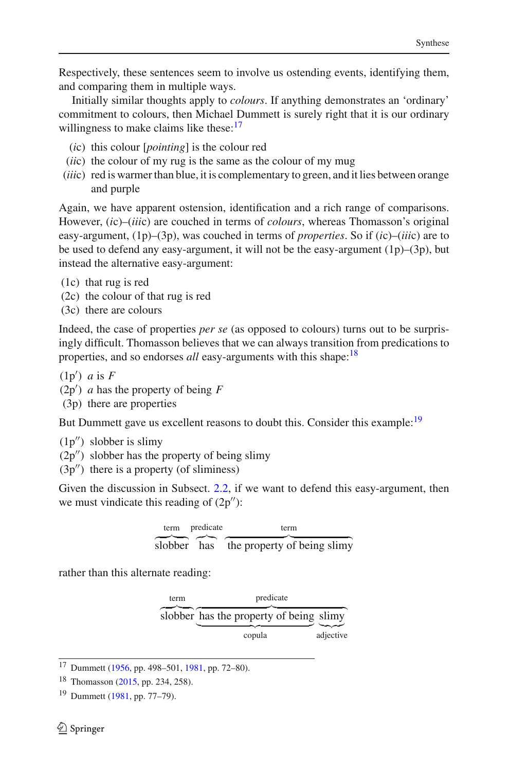Respectively, these sentences seem to involve us ostending events, identifying them, and comparing them in multiple ways.

Initially similar thoughts apply to *colours*. If anything demonstrates an 'ordinary' commitment to colours, then Michael Dummett is surely right that it is our ordinary willingness to make claims like these: $17$ 

- (*i*c) this colour [*pointing*] is the colour red
- (*ii*c) the colour of my rug is the same as the colour of my mug
- (*iii*c) red is warmer than blue, it is complementary to green, and it lies between orange and purple

Again, we have apparent ostension, identification and a rich range of comparisons. However, (*i*c)–(*iii*c) are couched in terms of *colours*, whereas Thomasson's original easy-argument, (1p)–(3p), was couched in terms of *properties*. So if (*i*c)–(*iii*c) are to be used to defend any easy-argument, it will not be the easy-argument (1p)–(3p), but instead the alternative easy-argument:

- (1c) that rug is red
- (2c) the colour of that rug is red
- (3c) there are colours

Indeed, the case of properties *per se* (as opposed to colours) turns out to be surprisingly difficult. Thomasson believes that we can always transition from predications to properties, and so endorses *all* easy-arguments with this shape:<sup>18</sup>

 $(1p')$  *a* is *F* 

- $(2p')$  *a* has the property of being *F*
- (3p) there are properties

But Dummett gave us excellent reasons to doubt this. Consider this example:<sup>[19](#page-9-2)</sup>

 $(1p'')$  slobber is slimy

- $(2p'')$  slobber has the property of being slimy
- $(3p'')$  there is a property (of sliminess)

Given the discussion in Subsect. [2.2,](#page-3-4) if we want to defend this easy-argument, then we must vindicate this reading of  $(2p'')$ :

| term predicate | term                                    |
|----------------|-----------------------------------------|
|                |                                         |
|                | slobber has the property of being slimy |

rather than this alternate reading:

| term | predicate                               |           |
|------|-----------------------------------------|-----------|
|      | slobber has the property of being slimy |           |
|      | copula                                  | adjective |

<sup>17</sup> Dummett [\(1956,](#page-23-14) pp. 498–501, [1981,](#page-23-15) pp. 72–80).

<span id="page-9-0"></span><sup>18</sup> Thomasson [\(2015](#page-23-2), pp. 234, 258).

<span id="page-9-2"></span><span id="page-9-1"></span><sup>19</sup> Dummett [\(1981,](#page-23-15) pp. 77–79).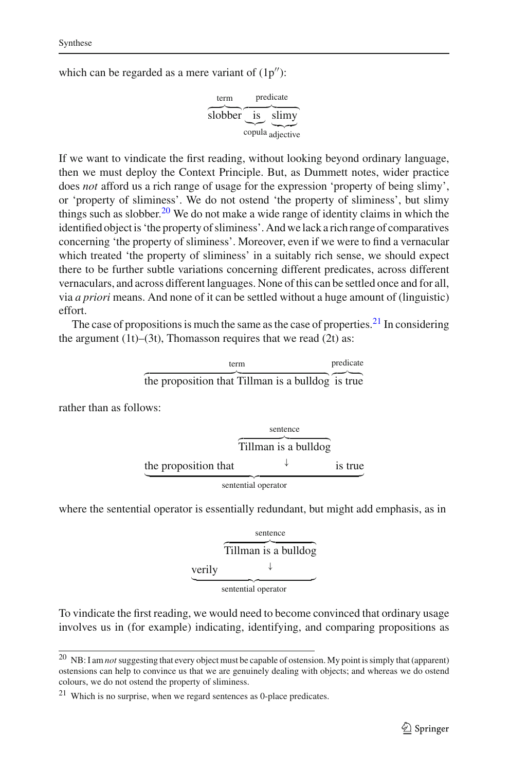which can be regarded as a mere variant of  $(1p'')$ :

| term    |    | predicate        |
|---------|----|------------------|
| slobber | 18 | slimy            |
|         |    | copula adjective |

If we want to vindicate the first reading, without looking beyond ordinary language, then we must deploy the Context Principle. But, as Dummett notes, wider practice does *not* afford us a rich range of usage for the expression 'property of being slimy', or 'property of sliminess'. We do not ostend 'the property of sliminess', but slimy things such as slobber.<sup>[20](#page-10-0)</sup> We do not make a wide range of identity claims in which the identified object is 'the property of sliminess'. And we lack a rich range of comparatives concerning 'the property of sliminess'. Moreover, even if we were to find a vernacular which treated 'the property of sliminess' in a suitably rich sense, we should expect there to be further subtle variations concerning different predicates, across different vernaculars, and across different languages. None of this can be settled once and for all, via *a priori* means. And none of it can be settled without a huge amount of (linguistic) effort.

The case of propositions is much the same as the case of properties. $^{21}$  In considering the argument  $(1t)$ – $(3t)$ , Thomasson requires that we read  $(2t)$  as:

| term                                              | predicate |
|---------------------------------------------------|-----------|
|                                                   |           |
| the proposition that Tillman is a bulldog is true |           |

rather than as follows:



where the sentential operator is essentially redundant, but might add emphasis, as in

|        | sentence             |
|--------|----------------------|
|        | Tillman is a bulldog |
| verily |                      |
|        | sentential operator  |

To vindicate the first reading, we would need to become convinced that ordinary usage involves us in (for example) indicating, identifying, and comparing propositions as

<span id="page-10-0"></span><sup>20</sup> NB: I am *not* suggesting that every object must be capable of ostension. My point is simply that (apparent) ostensions can help to convince us that we are genuinely dealing with objects; and whereas we do ostend colours, we do not ostend the property of sliminess.

<span id="page-10-1"></span><sup>21</sup> Which is no surprise, when we regard sentences as 0-place predicates.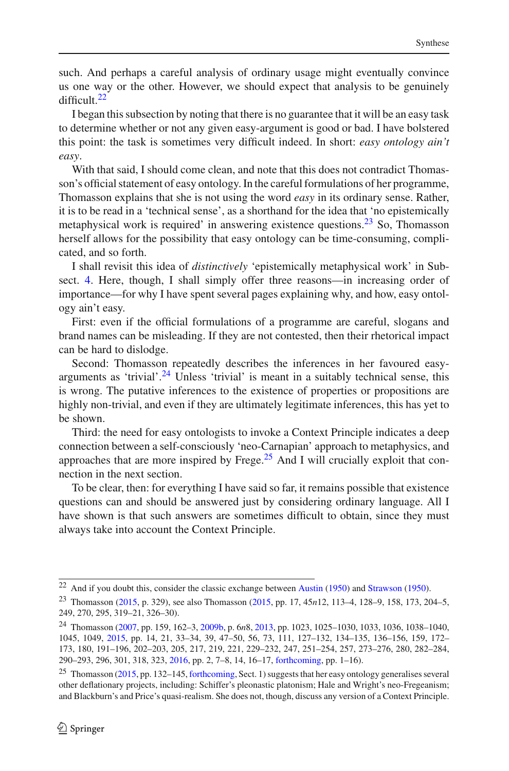such. And perhaps a careful analysis of ordinary usage might eventually convince us one way or the other. However, we should expect that analysis to be genuinely difficult[.22](#page-11-0)

I began this subsection by noting that there is no guarantee that it will be an easy task to determine whether or not any given easy-argument is good or bad. I have bolstered this point: the task is sometimes very difficult indeed. In short: *easy ontology ain't easy*.

With that said, I should come clean, and note that this does not contradict Thomasson's official statement of easy ontology. In the careful formulations of her programme, Thomasson explains that she is not using the word *easy* in its ordinary sense. Rather, it is to be read in a 'technical sense', as a shorthand for the idea that 'no epistemically metaphysical work is required' in answering existence questions.<sup>23</sup> So, Thomasson herself allows for the possibility that easy ontology can be time-consuming, complicated, and so forth.

I shall revisit this idea of *distinctively* 'epistemically metaphysical work' in Subsect. [4.](#page-21-0) Here, though, I shall simply offer three reasons—in increasing order of importance—for why I have spent several pages explaining why, and how, easy ontology ain't easy.

First: even if the official formulations of a programme are careful, slogans and brand names can be misleading. If they are not contested, then their rhetorical impact can be hard to dislodge.

Second: Thomasson repeatedly describes the inferences in her favoured easy-arguments as 'trivial'.<sup>[24](#page-11-2)</sup> Unless 'trivial' is meant in a suitably technical sense, this is wrong. The putative inferences to the existence of properties or propositions are highly non-trivial, and even if they are ultimately legitimate inferences, this has yet to be shown.

Third: the need for easy ontologists to invoke a Context Principle indicates a deep connection between a self-consciously 'neo-Carnapian' approach to metaphysics, and approaches that are more inspired by Frege. $25$  And I will crucially exploit that connection in the next section.

To be clear, then: for everything I have said so far, it remains possible that existence questions can and should be answered just by considering ordinary language. All I have shown is that such answers are sometimes difficult to obtain, since they must always take into account the Context Principle.

<sup>&</sup>lt;sup>22</sup> And if you doubt this, consider the classic exchange between [Austin](#page-23-16) [\(1950\)](#page-23-17) and [Strawson](#page-23-17) (1950).

<span id="page-11-1"></span><span id="page-11-0"></span><sup>23</sup> Thomasson [\(2015,](#page-23-2) p. 329), see also Thomasson [\(2015,](#page-23-2) pp. 17, 45*n*12, 113–4, 128–9, 158, 173, 204–5, 249, 270, 295, 319–21, 326–30).

<span id="page-11-2"></span><sup>24</sup> Thomasson [\(2007](#page-23-5), pp. 159, 162–3, [2009b,](#page-23-0) p. 6*n*8, [2013](#page-23-1), pp. 1023, 1025–1030, 1033, 1036, 1038–1040, 1045, 1049, [2015](#page-23-2), pp. 14, 21, 33–34, 39, 47–50, 56, 73, 111, 127–132, 134–135, 136–156, 159, 172– 173, 180, 191–196, 202–203, 205, 217, 219, 221, 229–232, 247, 251–254, 257, 273–276, 280, 282–284, 290–293, 296, 301, 318, 323, [2016](#page-23-3), pp. 2, 7–8, 14, 16–17, [forthcoming](#page-23-4), pp. 1–16).

<span id="page-11-3"></span><sup>&</sup>lt;sup>25</sup> Thomasson [\(2015,](#page-23-2) pp. 132–145, forthcoming, Sect. 1) suggests that her easy ontology generalises several other deflationary projects, including: Schiffer's pleonastic platonism; Hale and Wright's neo-Fregeanism; and Blackburn's and Price's quasi-realism. She does not, though, discuss any version of a Context Principle.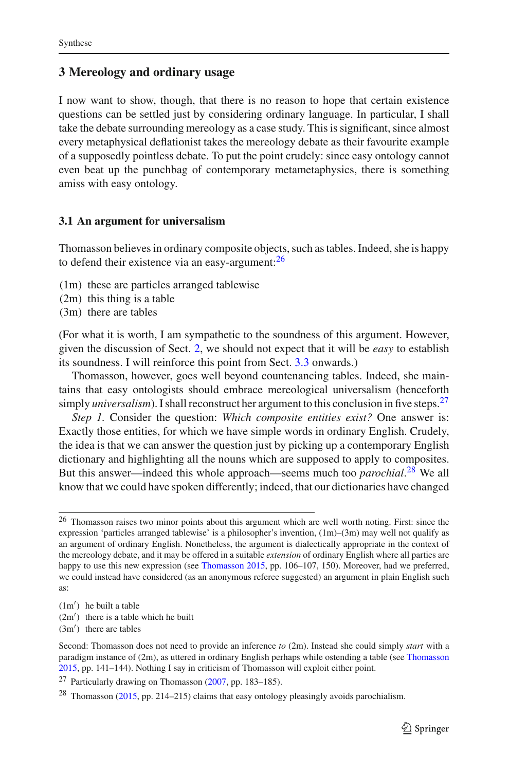# <span id="page-12-4"></span>**3 Mereology and ordinary usage**

I now want to show, though, that there is no reason to hope that certain existence questions can be settled just by considering ordinary language. In particular, I shall take the debate surrounding mereology as a case study. This is significant, since almost every metaphysical deflationist takes the mereology debate as their favourite example of a supposedly pointless debate. To put the point crudely: since easy ontology cannot even beat up the punchbag of contemporary metametaphysics, there is something amiss with easy ontology.

# <span id="page-12-3"></span>**3.1 An argument for universalism**

Thomasson believes in ordinary composite objects, such as tables. Indeed, she is happy to defend their existence via an easy-argument: $^{26}$  $^{26}$  $^{26}$ 

- (1m) these are particles arranged tablewise
- (2m) this thing is a table
- (3m) there are tables

(For what it is worth, I am sympathetic to the soundness of this argument. However, given the discussion of Sect. [2,](#page-2-4) we should not expect that it will be *easy* to establish its soundness. I will reinforce this point from Sect. [3.3](#page-15-0) onwards.)

Thomasson, however, goes well beyond countenancing tables. Indeed, she maintains that easy ontologists should embrace mereological universalism (henceforth simply *universalism*). I shall reconstruct her argument to this conclusion in five steps.<sup>[27](#page-12-1)</sup>

*Step 1.* Consider the question: *Which composite entities exist?* One answer is: Exactly those entities, for which we have simple words in ordinary English. Crudely, the idea is that we can answer the question just by picking up a contemporary English dictionary and highlighting all the nouns which are supposed to apply to composites. But this answer—indeed this whole approach—seems much too *parochial*. [28](#page-12-2) We all know that we could have spoken differently; indeed, that our dictionaries have changed

<span id="page-12-0"></span><sup>26</sup> Thomasson raises two minor points about this argument which are well worth noting. First: since the expression 'particles arranged tablewise' is a philosopher's invention, (1m)–(3m) may well not qualify as an argument of ordinary English. Nonetheless, the argument is dialectically appropriate in the context of the mereology debate, and it may be offered in a suitable *extension* of ordinary English where all parties are happy to use this new expression (see [Thomasson 2015](#page-23-2), pp. 106–107, 150). Moreover, had we preferred, we could instead have considered (as an anonymous referee suggested) an argument in plain English such as:

 $(1m')$  he built a table

 $(2m')$  there is a table which he built

 $(3m')$  there are tables

Second: Thomasson does not need to provide an inference *to* (2m). Instead she could simply *start* with a paradigm instance of (2m), as uttered in ordinary English perhaps while ostending a table (see [Thomasson](#page-23-2) [2015,](#page-23-2) pp. 141–144). Nothing I say in criticism of Thomasson will exploit either point.

<sup>&</sup>lt;sup>27</sup> Particularly drawing on Thomasson  $(2007, pp. 183-185)$  $(2007, pp. 183-185)$ .

<span id="page-12-2"></span><span id="page-12-1"></span><sup>28</sup> Thomasson [\(2015](#page-23-2), pp. 214–215) claims that easy ontology pleasingly avoids parochialism.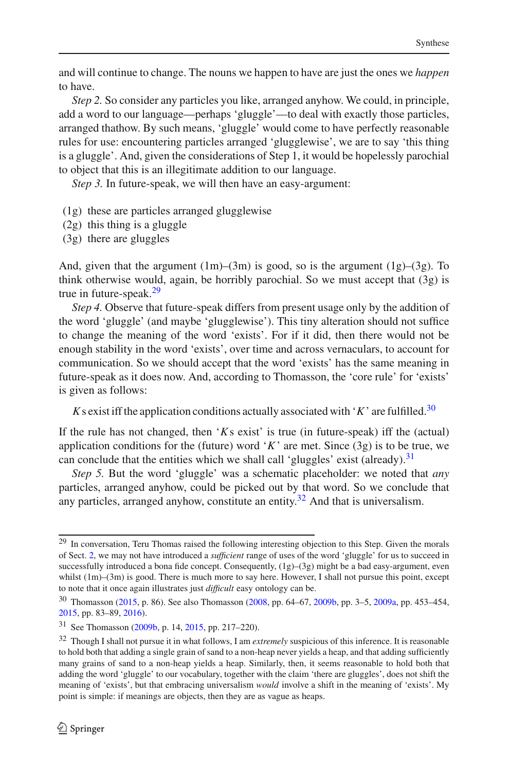and will continue to change. The nouns we happen to have are just the ones we *happen* to have.

*Step 2.* So consider any particles you like, arranged anyhow. We could, in principle, add a word to our language—perhaps 'gluggle'—to deal with exactly those particles, arranged thathow. By such means, 'gluggle' would come to have perfectly reasonable rules for use: encountering particles arranged 'glugglewise', we are to say 'this thing is a gluggle'. And, given the considerations of Step 1, it would be hopelessly parochial to object that this is an illegitimate addition to our language.

*Step 3.* In future-speak, we will then have an easy-argument:

- (1g) these are particles arranged glugglewise
- (2g) this thing is a gluggle
- (3g) there are gluggles

And, given that the argument  $(1m)$ – $(3m)$  is good, so is the argument  $(1g)$ – $(3g)$ . To think otherwise would, again, be horribly parochial. So we must accept that (3g) is true in future-speak.<sup>[29](#page-13-0)</sup>

*Step 4.* Observe that future-speak differs from present usage only by the addition of the word 'gluggle' (and maybe 'glugglewise'). This tiny alteration should not suffice to change the meaning of the word 'exists'. For if it did, then there would not be enough stability in the word 'exists', over time and across vernaculars, to account for communication. So we should accept that the word 'exists' has the same meaning in future-speak as it does now. And, according to Thomasson, the 'core rule' for 'exists' is given as follows:

*K* s exist iff the application conditions actually associated with '*K*' are fulfilled.<sup>30</sup>

If the rule has not changed, then '*K*s exist' is true (in future-speak) iff the (actual) application conditions for the (future) word ' $K$ ' are met. Since (3g) is to be true, we can conclude that the entities which we shall call 'gluggles' exist (already).<sup>[31](#page-13-2)</sup>

*Step 5.* But the word 'gluggle' was a schematic placeholder: we noted that *any* particles, arranged anyhow, could be picked out by that word. So we conclude that any particles, arranged anyhow, constitute an entity.<sup>32</sup> And that is universalism.

<span id="page-13-0"></span><sup>29</sup> In conversation, Teru Thomas raised the following interesting objection to this Step. Given the morals of Sect. [2,](#page-2-4) we may not have introduced a *sufficient* range of uses of the word 'gluggle' for us to succeed in successfully introduced a bona fide concept. Consequently,  $(1g)$ – $(3g)$  might be a bad easy-argument, even whilst (1m)–(3m) is good. There is much more to say here. However, I shall not pursue this point, except to note that it once again illustrates just *difficult* easy ontology can be.

<span id="page-13-1"></span><sup>30</sup> Thomasson [\(2015](#page-23-2), p. 86). See also Thomasson [\(2008,](#page-23-18) pp. 64–67, [2009b,](#page-23-0) pp. 3–5, [2009a](#page-23-19), pp. 453–454, [2015,](#page-23-2) pp. 83–89, [2016](#page-23-3)).

<sup>31</sup> See Thomasson [\(2009b,](#page-23-0) p. 14, [2015,](#page-23-2) pp. 217–220).

<span id="page-13-3"></span><span id="page-13-2"></span><sup>32</sup> Though I shall not pursue it in what follows, I am *extremely* suspicious of this inference. It is reasonable to hold both that adding a single grain of sand to a non-heap never yields a heap, and that adding sufficiently many grains of sand to a non-heap yields a heap. Similarly, then, it seems reasonable to hold both that adding the word 'gluggle' to our vocabulary, together with the claim 'there are gluggles', does not shift the meaning of 'exists', but that embracing universalism *would* involve a shift in the meaning of 'exists'. My point is simple: if meanings are objects, then they are as vague as heaps.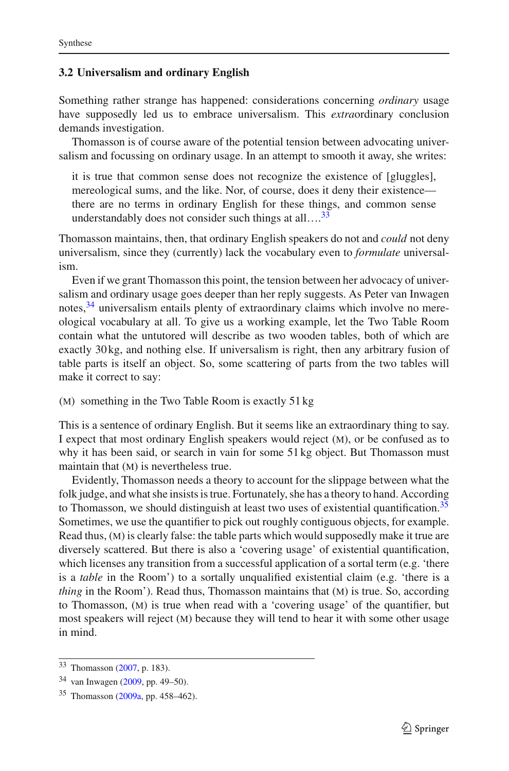# <span id="page-14-3"></span>**3.2 Universalism and ordinary English**

Something rather strange has happened: considerations concerning *ordinary* usage have supposedly led us to embrace universalism. This *extra*ordinary conclusion demands investigation.

Thomasson is of course aware of the potential tension between advocating universalism and focussing on ordinary usage. In an attempt to smooth it away, she writes:

it is true that common sense does not recognize the existence of [gluggles], mereological sums, and the like. Nor, of course, does it deny their existence there are no terms in ordinary English for these things, and common sense understandably does not consider such things at all.... $^{33}$ 

Thomasson maintains, then, that ordinary English speakers do not and *could* not deny universalism, since they (currently) lack the vocabulary even to *formulate* universalism.

Even if we grant Thomasson this point, the tension between her advocacy of universalism and ordinary usage goes deeper than her reply suggests. As Peter van Inwagen notes,<sup>[34](#page-14-1)</sup> universalism entails plenty of extraordinary claims which involve no mereological vocabulary at all. To give us a working example, let the Two Table Room contain what the untutored will describe as two wooden tables, both of which are exactly 30 kg, and nothing else. If universalism is right, then any arbitrary fusion of table parts is itself an object. So, some scattering of parts from the two tables will make it correct to say:

(m) something in the Two Table Room is exactly 51 kg

This is a sentence of ordinary English. But it seems like an extraordinary thing to say. I expect that most ordinary English speakers would reject (m), or be confused as to why it has been said, or search in vain for some 51 kg object. But Thomasson must maintain that  $(M)$  is nevertheless true.

Evidently, Thomasson needs a theory to account for the slippage between what the folk judge, and what she insists is true. Fortunately, she has a theory to hand. According to Thomasson, we should distinguish at least two uses of existential quantification.<sup>35</sup> Sometimes, we use the quantifier to pick out roughly contiguous objects, for example. Read thus, (m) is clearly false: the table parts which would supposedly make it true are diversely scattered. But there is also a 'covering usage' of existential quantification, which licenses any transition from a successful application of a sortal term (e.g. 'there is a *table* in the Room') to a sortally unqualified existential claim (e.g. 'there is a *thing* in the Room'). Read thus, Thomasson maintains that (M) is true. So, according to Thomasson,  $(M)$  is true when read with a 'covering usage' of the quantifier, but most speakers will reject (m) because they will tend to hear it with some other usage in mind.

<sup>33</sup> Thomasson [\(2007](#page-23-5), p. 183).

<span id="page-14-0"></span><sup>34</sup> van Inwagen [\(2009](#page-24-2), pp. 49–50).

<span id="page-14-2"></span><span id="page-14-1"></span><sup>35</sup> Thomasson [\(2009a,](#page-23-19) pp. 458–462).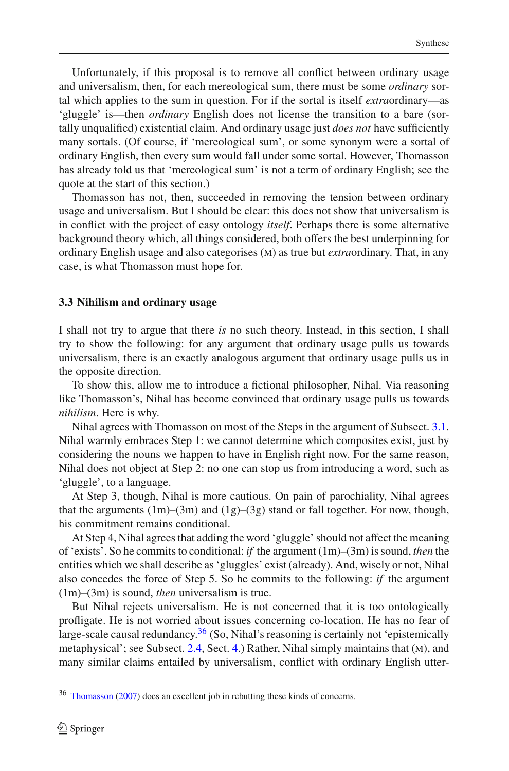Unfortunately, if this proposal is to remove all conflict between ordinary usage and universalism, then, for each mereological sum, there must be some *ordinary* sortal which applies to the sum in question. For if the sortal is itself *extra*ordinary—as 'gluggle' is—then *ordinary* English does not license the transition to a bare (sortally unqualified) existential claim. And ordinary usage just *does not* have sufficiently many sortals. (Of course, if 'mereological sum', or some synonym were a sortal of ordinary English, then every sum would fall under some sortal. However, Thomasson has already told us that 'mereological sum' is not a term of ordinary English; see the quote at the start of this section.)

Thomasson has not, then, succeeded in removing the tension between ordinary usage and universalism. But I should be clear: this does not show that universalism is in conflict with the project of easy ontology *itself*. Perhaps there is some alternative background theory which, all things considered, both offers the best underpinning for ordinary English usage and also categorises (m) as true but *extra*ordinary. That, in any case, is what Thomasson must hope for.

### <span id="page-15-0"></span>**3.3 Nihilism and ordinary usage**

I shall not try to argue that there *is* no such theory. Instead, in this section, I shall try to show the following: for any argument that ordinary usage pulls us towards universalism, there is an exactly analogous argument that ordinary usage pulls us in the opposite direction.

To show this, allow me to introduce a fictional philosopher, Nihal. Via reasoning like Thomasson's, Nihal has become convinced that ordinary usage pulls us towards *nihilism*. Here is why.

Nihal agrees with Thomasson on most of the Steps in the argument of Subsect. [3.1.](#page-12-3) Nihal warmly embraces Step 1: we cannot determine which composites exist, just by considering the nouns we happen to have in English right now. For the same reason, Nihal does not object at Step 2: no one can stop us from introducing a word, such as 'gluggle', to a language.

At Step 3, though, Nihal is more cautious. On pain of parochiality, Nihal agrees that the arguments  $(1m)$ – $(3m)$  and  $(1g)$ – $(3g)$  stand or fall together. For now, though, his commitment remains conditional.

At Step 4, Nihal agrees that adding the word 'gluggle' should not affect the meaning of 'exists'. So he commits to conditional: *if* the argument (1m)–(3m) is sound, *then* the entities which we shall describe as 'gluggles' exist (already). And, wisely or not, Nihal also concedes the force of Step 5. So he commits to the following: *if* the argument (1m)–(3m) is sound, *then* universalism is true.

But Nihal rejects universalism. He is not concerned that it is too ontologically profligate. He is not worried about issues concerning co-location. He has no fear of large-scale causal redundancy. $36$  (So, Nihal's reasoning is certainly not 'epistemically metaphysical'; see Subsect. [2.4,](#page-8-0) Sect. [4.](#page-21-0)) Rather, Nihal simply maintains that (m), and many similar claims entailed by universalism, conflict with ordinary English utter-

<span id="page-15-1"></span><sup>36</sup> [Thomasson](#page-23-5) [\(2007](#page-23-5)) does an excellent job in rebutting these kinds of concerns.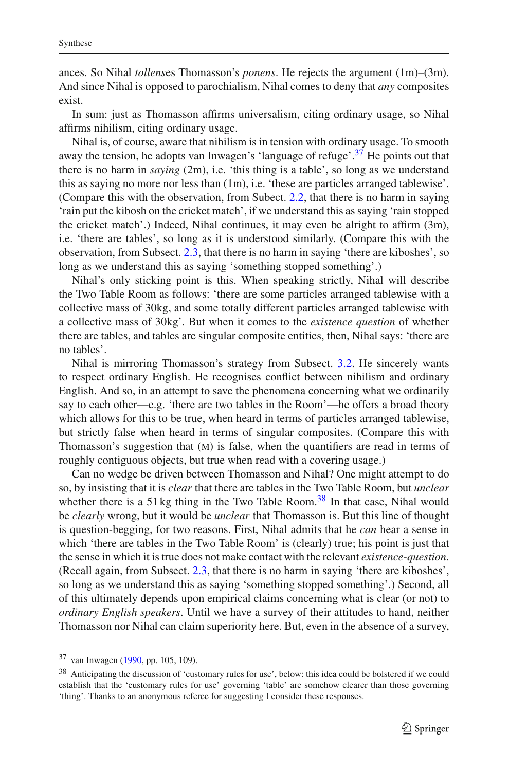ances. So Nihal *tollens*es Thomasson's *ponens*. He rejects the argument (1m)–(3m). And since Nihal is opposed to parochialism, Nihal comes to deny that *any* composites exist.

In sum: just as Thomasson affirms universalism, citing ordinary usage, so Nihal affirms nihilism, citing ordinary usage.

Nihal is, of course, aware that nihilism is in tension with ordinary usage. To smooth away the tension, he adopts van Inwagen's 'language of refuge'.<sup>[37](#page-16-0)</sup> He points out that there is no harm in *saying* (2m), i.e. 'this thing is a table', so long as we understand this as saying no more nor less than (1m), i.e. 'these are particles arranged tablewise'. (Compare this with the observation, from Subect. [2.2,](#page-3-4) that there is no harm in saying 'rain put the kibosh on the cricket match', if we understand this as saying 'rain stopped the cricket match'.) Indeed, Nihal continues, it may even be alright to affirm (3m), i.e. 'there are tables', so long as it is understood similarly. (Compare this with the observation, from Subsect. [2.3,](#page-5-0) that there is no harm in saying 'there are kiboshes', so long as we understand this as saying 'something stopped something'.)

Nihal's only sticking point is this. When speaking strictly, Nihal will describe the Two Table Room as follows: 'there are some particles arranged tablewise with a collective mass of 30kg, and some totally different particles arranged tablewise with a collective mass of 30kg'. But when it comes to the *existence question* of whether there are tables, and tables are singular composite entities, then, Nihal says: 'there are no tables'.

Nihal is mirroring Thomasson's strategy from Subsect. [3.2.](#page-14-3) He sincerely wants to respect ordinary English. He recognises conflict between nihilism and ordinary English. And so, in an attempt to save the phenomena concerning what we ordinarily say to each other—e.g. 'there are two tables in the Room'—he offers a broad theory which allows for this to be true, when heard in terms of particles arranged tablewise, but strictly false when heard in terms of singular composites. (Compare this with Thomasson's suggestion that (m) is false, when the quantifiers are read in terms of roughly contiguous objects, but true when read with a covering usage.)

Can no wedge be driven between Thomasson and Nihal? One might attempt to do so, by insisting that it is *clear* that there are tables in the Two Table Room, but *unclear* whether there is a 51 kg thing in the Two Table Room.<sup>38</sup> In that case, Nihal would be *clearly* wrong, but it would be *unclear* that Thomasson is. But this line of thought is question-begging, for two reasons. First, Nihal admits that he *can* hear a sense in which 'there are tables in the Two Table Room' is (clearly) true; his point is just that the sense in which it is true does not make contact with the relevant *existence-question*. (Recall again, from Subsect. [2.3,](#page-5-0) that there is no harm in saying 'there are kiboshes', so long as we understand this as saying 'something stopped something'.) Second, all of this ultimately depends upon empirical claims concerning what is clear (or not) to *ordinary English speakers*. Until we have a survey of their attitudes to hand, neither Thomasson nor Nihal can claim superiority here. But, even in the absence of a survey,

<sup>37</sup> van Inwagen [\(1990](#page-23-20), pp. 105, 109).

<span id="page-16-1"></span><span id="page-16-0"></span><sup>38</sup> Anticipating the discussion of 'customary rules for use', below: this idea could be bolstered if we could establish that the 'customary rules for use' governing 'table' are somehow clearer than those governing 'thing'. Thanks to an anonymous referee for suggesting I consider these responses.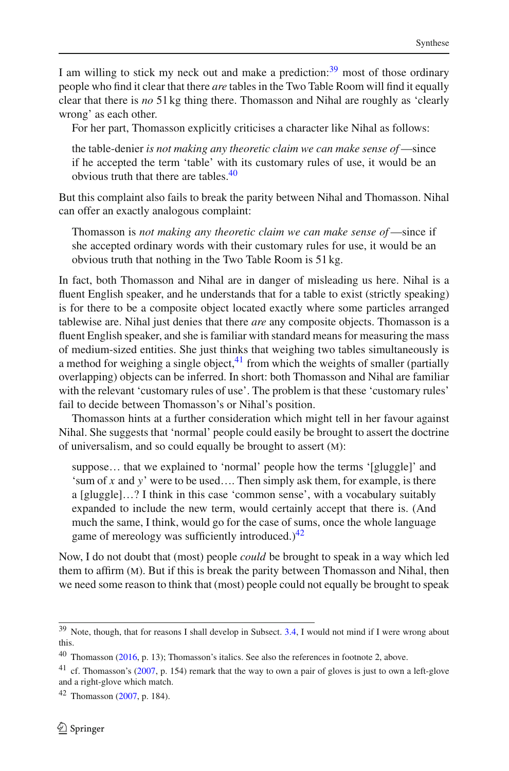I am willing to stick my neck out and make a prediction: $39$  most of those ordinary people who find it clear that there *are* tables in the Two Table Room will find it equally clear that there is *no* 51 kg thing there. Thomasson and Nihal are roughly as 'clearly wrong' as each other.

For her part, Thomasson explicitly criticises a character like Nihal as follows:

the table-denier *is not making any theoretic claim we can make sense of* —since if he accepted the term 'table' with its customary rules of use, it would be an obvious truth that there are tables.<sup>40</sup>

But this complaint also fails to break the parity between Nihal and Thomasson. Nihal can offer an exactly analogous complaint:

Thomasson is *not making any theoretic claim we can make sense of* —since if she accepted ordinary words with their customary rules for use, it would be an obvious truth that nothing in the Two Table Room is 51 kg.

In fact, both Thomasson and Nihal are in danger of misleading us here. Nihal is a fluent English speaker, and he understands that for a table to exist (strictly speaking) is for there to be a composite object located exactly where some particles arranged tablewise are. Nihal just denies that there *are* any composite objects. Thomasson is a fluent English speaker, and she is familiar with standard means for measuring the mass of medium-sized entities. She just thinks that weighing two tables simultaneously is a method for weighing a single object, $^{41}$  $^{41}$  $^{41}$  from which the weights of smaller (partially overlapping) objects can be inferred. In short: both Thomasson and Nihal are familiar with the relevant 'customary rules of use'. The problem is that these 'customary rules' fail to decide between Thomasson's or Nihal's position.

Thomasson hints at a further consideration which might tell in her favour against Nihal. She suggests that 'normal' people could easily be brought to assert the doctrine of universalism, and so could equally be brought to assert (m):

suppose… that we explained to 'normal' people how the terms '[gluggle]' and 'sum of *x* and *y*' were to be used…. Then simply ask them, for example, is there a [gluggle]…? I think in this case 'common sense', with a vocabulary suitably expanded to include the new term, would certainly accept that there is. (And much the same, I think, would go for the case of sums, once the whole language game of mereology was sufficiently introduced.) $^{42}$ 

Now, I do not doubt that (most) people *could* be brought to speak in a way which led them to affirm (m). But if this is break the parity between Thomasson and Nihal, then we need some reason to think that (most) people could not equally be brought to speak

<span id="page-17-0"></span><sup>39</sup> Note, though, that for reasons I shall develop in Subsect. [3.4,](#page-18-0) I would not mind if I were wrong about this.

<sup>40</sup> Thomasson [\(2016](#page-23-3), p. 13); Thomasson's italics. See also the references in footnote 2, above.

<span id="page-17-2"></span><span id="page-17-1"></span> $41$  cf. Thomasson's [\(2007](#page-23-5), p. 154) remark that the way to own a pair of gloves is just to own a left-glove and a right-glove which match.

<span id="page-17-3"></span><sup>42</sup> Thomasson [\(2007](#page-23-5), p. 184).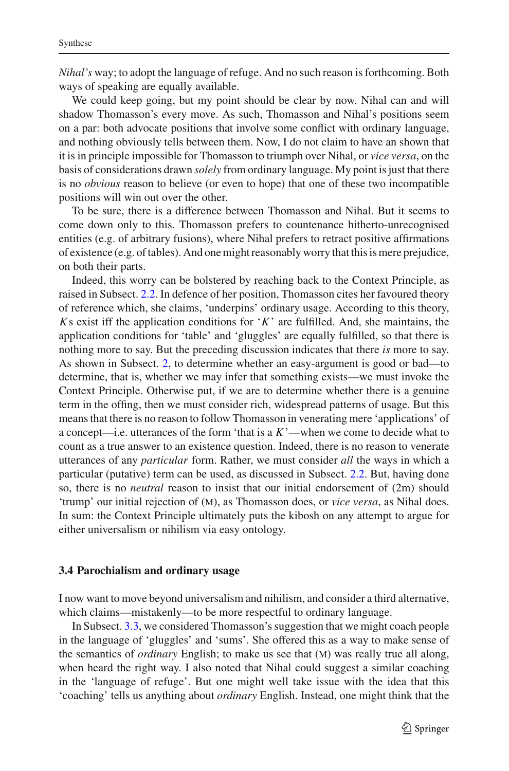*Nihal's* way; to adopt the language of refuge. And no such reason is forthcoming. Both ways of speaking are equally available.

We could keep going, but my point should be clear by now. Nihal can and will shadow Thomasson's every move. As such, Thomasson and Nihal's positions seem on a par: both advocate positions that involve some conflict with ordinary language, and nothing obviously tells between them. Now, I do not claim to have an shown that it is in principle impossible for Thomasson to triumph over Nihal, or *vice versa*, on the basis of considerations drawn *solely* from ordinary language. My point is just that there is no *obvious* reason to believe (or even to hope) that one of these two incompatible positions will win out over the other.

To be sure, there is a difference between Thomasson and Nihal. But it seems to come down only to this. Thomasson prefers to countenance hitherto-unrecognised entities (e.g. of arbitrary fusions), where Nihal prefers to retract positive affirmations of existence (e.g. of tables). And one might reasonably worry that this is mere prejudice, on both their parts.

Indeed, this worry can be bolstered by reaching back to the Context Principle, as raised in Subsect. [2.2.](#page-3-4) In defence of her position, Thomasson cites her favoured theory of reference which, she claims, 'underpins' ordinary usage. According to this theory,  $Ks$  exist iff the application conditions for  $K'$  are fulfilled. And, she maintains, the application conditions for 'table' and 'gluggles' are equally fulfilled, so that there is nothing more to say. But the preceding discussion indicates that there *is* more to say. As shown in Subsect. [2,](#page-2-4) to determine whether an easy-argument is good or bad—to determine, that is, whether we may infer that something exists—we must invoke the Context Principle. Otherwise put, if we are to determine whether there is a genuine term in the offing, then we must consider rich, widespread patterns of usage. But this means that there is no reason to follow Thomasson in venerating mere 'applications' of a concept—i.e. utterances of the form 'that is a *K*'—when we come to decide what to count as a true answer to an existence question. Indeed, there is no reason to venerate utterances of any *particular* form. Rather, we must consider *all* the ways in which a particular (putative) term can be used, as discussed in Subsect. [2.2.](#page-3-4) But, having done so, there is no *neutral* reason to insist that our initial endorsement of (2m) should 'trump' our initial rejection of (m), as Thomasson does, or *vice versa*, as Nihal does. In sum: the Context Principle ultimately puts the kibosh on any attempt to argue for either universalism or nihilism via easy ontology.

#### <span id="page-18-0"></span>**3.4 Parochialism and ordinary usage**

I now want to move beyond universalism and nihilism, and consider a third alternative, which claims—mistakenly—to be more respectful to ordinary language.

In Subsect. [3.3,](#page-15-0) we considered Thomasson's suggestion that we might coach people in the language of 'gluggles' and 'sums'. She offered this as a way to make sense of the semantics of *ordinary* English; to make us see that (m) was really true all along, when heard the right way. I also noted that Nihal could suggest a similar coaching in the 'language of refuge'. But one might well take issue with the idea that this 'coaching' tells us anything about *ordinary* English. Instead, one might think that the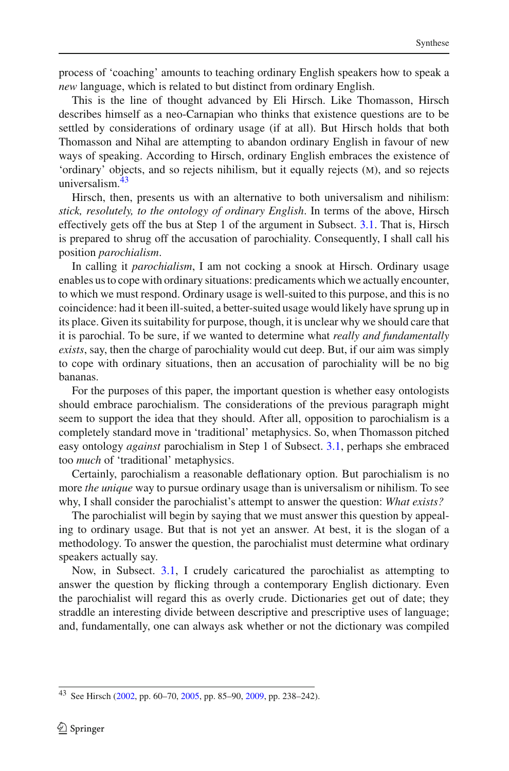process of 'coaching' amounts to teaching ordinary English speakers how to speak a *new* language, which is related to but distinct from ordinary English.

This is the line of thought advanced by Eli Hirsch. Like Thomasson, Hirsch describes himself as a neo-Carnapian who thinks that existence questions are to be settled by considerations of ordinary usage (if at all). But Hirsch holds that both Thomasson and Nihal are attempting to abandon ordinary English in favour of new ways of speaking. According to Hirsch, ordinary English embraces the existence of 'ordinary' objects, and so rejects nihilism, but it equally rejects (m), and so rejects universalism.<sup>[43](#page-19-0)</sup>

Hirsch, then, presents us with an alternative to both universalism and nihilism: *stick, resolutely, to the ontology of ordinary English*. In terms of the above, Hirsch effectively gets off the bus at Step 1 of the argument in Subsect. [3.1.](#page-12-3) That is, Hirsch is prepared to shrug off the accusation of parochiality. Consequently, I shall call his position *parochialism*.

In calling it *parochialism*, I am not cocking a snook at Hirsch. Ordinary usage enables us to cope with ordinary situations: predicaments which we actually encounter, to which we must respond. Ordinary usage is well-suited to this purpose, and this is no coincidence: had it been ill-suited, a better-suited usage would likely have sprung up in its place. Given its suitability for purpose, though, it is unclear why we should care that it is parochial. To be sure, if we wanted to determine what *really and fundamentally exists*, say, then the charge of parochiality would cut deep. But, if our aim was simply to cope with ordinary situations, then an accusation of parochiality will be no big bananas.

For the purposes of this paper, the important question is whether easy ontologists should embrace parochialism. The considerations of the previous paragraph might seem to support the idea that they should. After all, opposition to parochialism is a completely standard move in 'traditional' metaphysics. So, when Thomasson pitched easy ontology *against* parochialism in Step 1 of Subsect. [3.1,](#page-12-3) perhaps she embraced too *much* of 'traditional' metaphysics.

Certainly, parochialism a reasonable deflationary option. But parochialism is no more *the unique* way to pursue ordinary usage than is universalism or nihilism. To see why, I shall consider the parochialist's attempt to answer the question: *What exists?*

The parochialist will begin by saying that we must answer this question by appealing to ordinary usage. But that is not yet an answer. At best, it is the slogan of a methodology. To answer the question, the parochialist must determine what ordinary speakers actually say.

Now, in Subsect. [3.1,](#page-12-3) I crudely caricatured the parochialist as attempting to answer the question by flicking through a contemporary English dictionary. Even the parochialist will regard this as overly crude. Dictionaries get out of date; they straddle an interesting divide between descriptive and prescriptive uses of language; and, fundamentally, one can always ask whether or not the dictionary was compiled

<span id="page-19-0"></span><sup>43</sup> See Hirsch [\(2002](#page-23-21), pp. 60–70, [2005](#page-23-22), pp. 85–90, [2009](#page-23-23), pp. 238–242).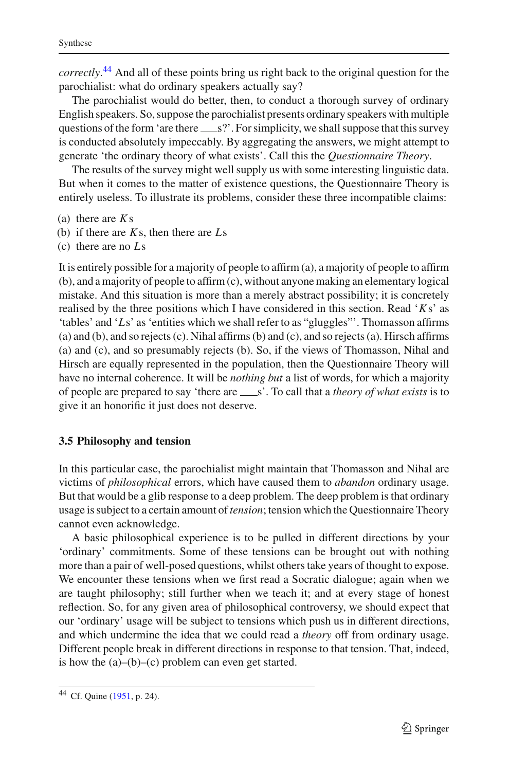*correctly*. [44](#page-20-0) And all of these points bring us right back to the original question for the parochialist: what do ordinary speakers actually say?

The parochialist would do better, then, to conduct a thorough survey of ordinary English speakers. So, suppose the parochialist presents ordinary speakers with multiple questions of the form 'are there  $\_\_\_s$ ?'. For simplicity, we shall suppose that this survey is conducted absolutely impeccably. By aggregating the answers, we might attempt to generate 'the ordinary theory of what exists'. Call this the *Questionnaire Theory*.

The results of the survey might well supply us with some interesting linguistic data. But when it comes to the matter of existence questions, the Questionnaire Theory is entirely useless. To illustrate its problems, consider these three incompatible claims:

- (a) there are *K*s
- (b) if there are *K*s, then there are *L*s
- (c) there are no *L*s

It is entirely possible for a majority of people to affirm (a), a majority of people to affirm (b), and a majority of people to affirm (c), without anyone making an elementary logical mistake. And this situation is more than a merely abstract possibility; it is concretely realised by the three positions which I have considered in this section. Read '*K*s' as 'tables' and '*L*s' as 'entities which we shall refer to as "gluggles"'. Thomasson affirms (a) and (b), and so rejects (c). Nihal affirms (b) and (c), and so rejects (a). Hirsch affirms (a) and (c), and so presumably rejects (b). So, if the views of Thomasson, Nihal and Hirsch are equally represented in the population, then the Questionnaire Theory will have no internal coherence. It will be *nothing but* a list of words, for which a majority of people are prepared to say 'there are <u>s'</u>. To call that a *theory of what exists* is to give it an honorific it just does not deserve.

### <span id="page-20-1"></span>**3.5 Philosophy and tension**

In this particular case, the parochialist might maintain that Thomasson and Nihal are victims of *philosophical* errors, which have caused them to *abandon* ordinary usage. But that would be a glib response to a deep problem. The deep problem is that ordinary usage is subject to a certain amount of*tension*; tension which the Questionnaire Theory cannot even acknowledge.

A basic philosophical experience is to be pulled in different directions by your 'ordinary' commitments. Some of these tensions can be brought out with nothing more than a pair of well-posed questions, whilst others take years of thought to expose. We encounter these tensions when we first read a Socratic dialogue; again when we are taught philosophy; still further when we teach it; and at every stage of honest reflection. So, for any given area of philosophical controversy, we should expect that our 'ordinary' usage will be subject to tensions which push us in different directions, and which undermine the idea that we could read a *theory* off from ordinary usage. Different people break in different directions in response to that tension. That, indeed, is how the  $(a)$ – $(b)$ – $(c)$  problem can even get started.

<span id="page-20-0"></span><sup>44</sup> Cf. Quine [\(1951](#page-23-24), p. 24).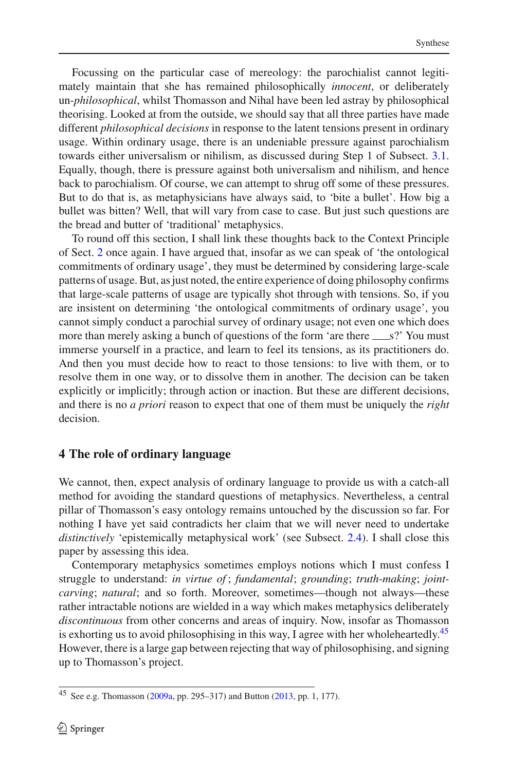Focussing on the particular case of mereology: the parochialist cannot legitimately maintain that she has remained philosophically *innocent*, or deliberately un-*philosophical*, whilst Thomasson and Nihal have been led astray by philosophical theorising. Looked at from the outside, we should say that all three parties have made different *philosophical decisions* in response to the latent tensions present in ordinary usage. Within ordinary usage, there is an undeniable pressure against parochialism towards either universalism or nihilism, as discussed during Step 1 of Subsect. [3.1.](#page-12-3) Equally, though, there is pressure against both universalism and nihilism, and hence back to parochialism. Of course, we can attempt to shrug off some of these pressures. But to do that is, as metaphysicians have always said, to 'bite a bullet'. How big a bullet was bitten? Well, that will vary from case to case. But just such questions are the bread and butter of 'traditional' metaphysics.

To round off this section, I shall link these thoughts back to the Context Principle of Sect. [2](#page-2-4) once again. I have argued that, insofar as we can speak of 'the ontological commitments of ordinary usage', they must be determined by considering large-scale patterns of usage. But, as just noted, the entire experience of doing philosophy confirms that large-scale patterns of usage are typically shot through with tensions. So, if you are insistent on determining 'the ontological commitments of ordinary usage', you cannot simply conduct a parochial survey of ordinary usage; not even one which does more than merely asking a bunch of questions of the form 'are there  $\frac{1}{s}$ ?' You must immerse yourself in a practice, and learn to feel its tensions, as its practitioners do. And then you must decide how to react to those tensions: to live with them, or to resolve them in one way, or to dissolve them in another. The decision can be taken explicitly or implicitly; through action or inaction. But these are different decisions, and there is no *a priori* reason to expect that one of them must be uniquely the *right* decision.

# <span id="page-21-0"></span>**4 The role of ordinary language**

We cannot, then, expect analysis of ordinary language to provide us with a catch-all method for avoiding the standard questions of metaphysics. Nevertheless, a central pillar of Thomasson's easy ontology remains untouched by the discussion so far. For nothing I have yet said contradicts her claim that we will never need to undertake *distinctively* 'epistemically metaphysical work' (see Subsect. [2.4\)](#page-8-0). I shall close this paper by assessing this idea.

Contemporary metaphysics sometimes employs notions which I must confess I struggle to understand: *in virtue of* ; *fundamental*; *grounding*; *truth-making*; *jointcarving*; *natural*; and so forth. Moreover, sometimes—though not always—these rather intractable notions are wielded in a way which makes metaphysics deliberately *discontinuous* from other concerns and areas of inquiry. Now, insofar as Thomasson is exhorting us to avoid philosophising in this way, I agree with her wholeheartedly.<sup>45</sup> However, there is a large gap between rejecting that way of philosophising, and signing up to Thomasson's project.

<span id="page-21-1"></span><sup>45</sup> See e.g. Thomasson [\(2009a](#page-23-19), pp. 295–317) and Button [\(2013](#page-23-25), pp. 1, 177).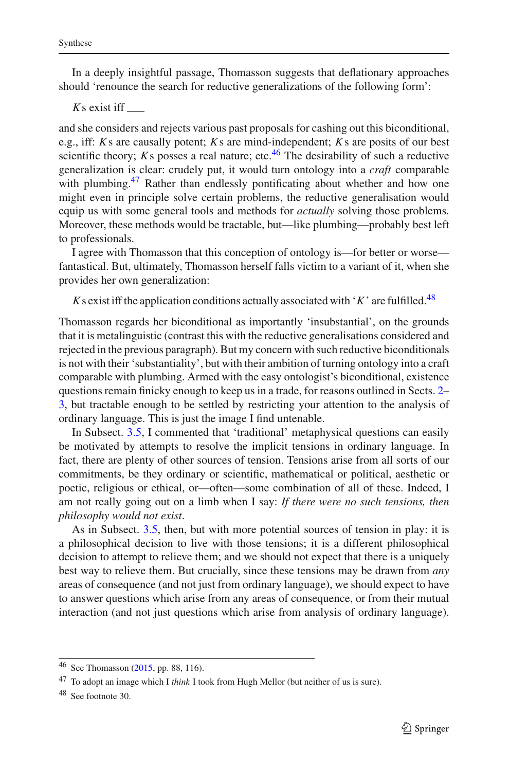In a deeply insightful passage, Thomasson suggests that deflationary approaches should 'renounce the search for reductive generalizations of the following form':

*K*s exist iff

and she considers and rejects various past proposals for cashing out this biconditional, e.g., iff: *K*s are causally potent; *K*s are mind-independent; *K*s are posits of our best scientific theory; *K*s posses a real nature; etc.<sup>[46](#page-22-0)</sup> The desirability of such a reductive generalization is clear: crudely put, it would turn ontology into a *craft* comparable with plumbing.<sup>47</sup> Rather than endlessly pontificating about whether and how one might even in principle solve certain problems, the reductive generalisation would equip us with some general tools and methods for *actually* solving those problems. Moreover, these methods would be tractable, but—like plumbing—probably best left to professionals.

I agree with Thomasson that this conception of ontology is—for better or worse fantastical. But, ultimately, Thomasson herself falls victim to a variant of it, when she provides her own generalization:

*K* s exist iff the application conditions actually associated with '*K*' are fulfilled.<sup>48</sup>

Thomasson regards her biconditional as importantly 'insubstantial', on the grounds that it is metalinguistic (contrast this with the reductive generalisations considered and rejected in the previous paragraph). But my concern with such reductive biconditionals is not with their 'substantiality', but with their ambition of turning ontology into a craft comparable with plumbing. Armed with the easy ontologist's biconditional, existence questions remain finicky enough to keep us in a trade, for reasons outlined in Sects. [2–](#page-2-4) [3,](#page-12-4) but tractable enough to be settled by restricting your attention to the analysis of ordinary language. This is just the image I find untenable.

In Subsect. [3.5,](#page-20-1) I commented that 'traditional' metaphysical questions can easily be motivated by attempts to resolve the implicit tensions in ordinary language. In fact, there are plenty of other sources of tension. Tensions arise from all sorts of our commitments, be they ordinary or scientific, mathematical or political, aesthetic or poetic, religious or ethical, or—often—some combination of all of these. Indeed, I am not really going out on a limb when I say: *If there were no such tensions, then philosophy would not exist*.

As in Subsect. [3.5,](#page-20-1) then, but with more potential sources of tension in play: it is a philosophical decision to live with those tensions; it is a different philosophical decision to attempt to relieve them; and we should not expect that there is a uniquely best way to relieve them. But crucially, since these tensions may be drawn from *any* areas of consequence (and not just from ordinary language), we should expect to have to answer questions which arise from any areas of consequence, or from their mutual interaction (and not just questions which arise from analysis of ordinary language).

<sup>46</sup> See Thomasson [\(2015,](#page-23-2) pp. 88, 116).

<span id="page-22-0"></span><sup>47</sup> To adopt an image which I *think* I took from Hugh Mellor (but neither of us is sure).

<span id="page-22-2"></span><span id="page-22-1"></span><sup>48</sup> See footnote 30.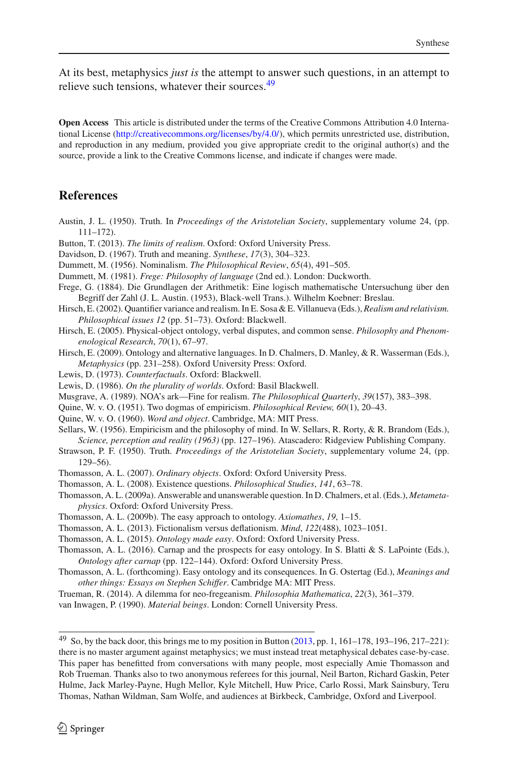At its best, metaphysics *just is* the attempt to answer such questions, in an attempt to relieve such tensions, whatever their sources.<sup>49</sup>

**Open Access** This article is distributed under the terms of the Creative Commons Attribution 4.0 International License [\(http://creativecommons.org/licenses/by/4.0/\)](http://creativecommons.org/licenses/by/4.0/), which permits unrestricted use, distribution, and reproduction in any medium, provided you give appropriate credit to the original author(s) and the source, provide a link to the Creative Commons license, and indicate if changes were made.

# **References**

- <span id="page-23-16"></span>Austin, J. L. (1950). Truth. In *Proceedings of the Aristotelian Society*, supplementary volume 24, (pp. 111–172).
- <span id="page-23-25"></span>Button, T. (2013). *The limits of realism*. Oxford: Oxford University Press.
- <span id="page-23-9"></span>Davidson, D. (1967). Truth and meaning. *Synthese*, *17*(3), 304–323.
- <span id="page-23-14"></span>Dummett, M. (1956). Nominalism. *The Philosophical Review*, *65*(4), 491–505.
- Dummett, M. (1981). *Frege: Philosophy of language* (2nd ed.). London: Duckworth.
- <span id="page-23-15"></span><span id="page-23-8"></span>Frege, G. (1884). Die Grundlagen der Arithmetik: Eine logisch mathematische Untersuchung über den Begriff der Zahl (J. L. Austin. (1953), Black-well Trans.). Wilhelm Koebner: Breslau.
- <span id="page-23-21"></span>Hirsch, E. (2002). Quantifier variance and realism. In E. Sosa & E. Villanueva (Eds.), *Realism and relativism. Philosophical issues 12* (pp. 51–73). Oxford: Blackwell.
- <span id="page-23-22"></span>Hirsch, E. (2005). Physical-object ontology, verbal disputes, and common sense. *Philosophy and Phenomenological Research*, *70*(1), 67–97.
- <span id="page-23-23"></span>Hirsch, E. (2009). Ontology and alternative languages. In D. Chalmers, D. Manley, & R. Wasserman (Eds.), *Metaphysics* (pp. 231–258). Oxford University Press: Oxford.
- <span id="page-23-12"></span>Lewis, D. (1973). *Counterfactuals*. Oxford: Blackwell.
- <span id="page-23-13"></span>Lewis, D. (1986). *On the plurality of worlds*. Oxford: Basil Blackwell.
- <span id="page-23-7"></span>Musgrave, A. (1989). NOA's ark—Fine for realism. *The Philosophical Quarterly*, *39*(157), 383–398.
- <span id="page-23-24"></span>Quine, W. v. O. (1951). Two dogmas of empiricism. *Philosophical Review, 60*(1), 20–43.
- Quine, W. v. O. (1960). *Word and object*. Cambridge, MA: MIT Press.
- <span id="page-23-11"></span><span id="page-23-6"></span>Sellars, W. (1956). Empiricism and the philosophy of mind. In W. Sellars, R. Rorty, & R. Brandom (Eds.), *Science, perception and reality (1963)* (pp. 127–196). Atascadero: Ridgeview Publishing Company.
- <span id="page-23-17"></span>Strawson, P. F. (1950). Truth. *Proceedings of the Aristotelian Society*, supplementary volume 24, (pp. 129–56).
- Thomasson, A. L. (2007). *Ordinary objects*. Oxford: Oxford University Press.
- <span id="page-23-19"></span><span id="page-23-18"></span><span id="page-23-5"></span>Thomasson, A. L. (2008). Existence questions. *Philosophical Studies*, *141*, 63–78.
- Thomasson, A. L. (2009a). Answerable and unanswerable question. In D. Chalmers, et al. (Eds.), *Metametaphysics*. Oxford: Oxford University Press.
- <span id="page-23-1"></span><span id="page-23-0"></span>Thomasson, A. L. (2009b). The easy approach to ontology. *Axiomathes*, *19*, 1–15.
- Thomasson, A. L. (2013). Fictionalism versus deflationism. *Mind*, *122*(488), 1023–1051.
- Thomasson, A. L. (2015). *Ontology made easy*. Oxford: Oxford University Press.
- <span id="page-23-3"></span><span id="page-23-2"></span>Thomasson, A. L. (2016). Carnap and the prospects for easy ontology. In S. Blatti & S. LaPointe (Eds.), *Ontology after carnap* (pp. 122–144). Oxford: Oxford University Press.
- <span id="page-23-4"></span>Thomasson, A. L. (forthcoming). Easy ontology and its consequences. In G. Ostertag (Ed.), *Meanings and other things: Essays on Stephen Schiffer*. Cambridge MA: MIT Press.
- <span id="page-23-20"></span><span id="page-23-10"></span>Trueman, R. (2014). A dilemma for neo-fregeanism. *Philosophia Mathematica*, *22*(3), 361–379. van Inwagen, P. (1990). *Material beings*. London: Cornell University Press.
- 

<span id="page-23-26"></span> $^{49}$  So, by the back door, this brings me to my position in Button [\(2013](#page-23-25), pp. 1, 161–178, 193–196, 217–221): there is no master argument against metaphysics; we must instead treat metaphysical debates case-by-case. This paper has benefitted from conversations with many people, most especially Amie Thomasson and Rob Trueman. Thanks also to two anonymous referees for this journal, Neil Barton, Richard Gaskin, Peter Hulme, Jack Marley-Payne, Hugh Mellor, Kyle Mitchell, Huw Price, Carlo Rossi, Mark Sainsbury, Teru Thomas, Nathan Wildman, Sam Wolfe, and audiences at Birkbeck, Cambridge, Oxford and Liverpool.